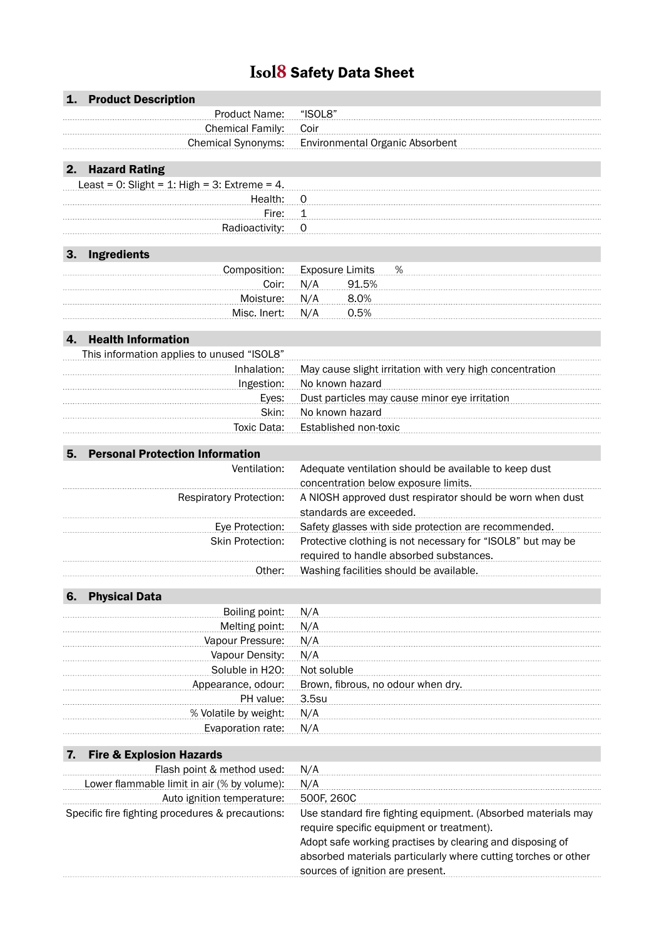## **Isol8** Safety Data Sheet

|    | 1. Product Description                           |                                                                |
|----|--------------------------------------------------|----------------------------------------------------------------|
|    | Product Name:                                    | "ISOL8"                                                        |
|    | <b>Chemical Family:</b>                          | Coir                                                           |
|    | <b>Chemical Synonyms:</b>                        | <b>Environmental Organic Absorbent</b>                         |
|    |                                                  |                                                                |
| 2. | <b>Hazard Rating</b>                             |                                                                |
|    | Least = $0$ : Slight = 1: High = 3: Extreme = 4. |                                                                |
|    | Health:                                          | 0                                                              |
|    | Fire:                                            | 1                                                              |
|    | Radioactivity:                                   | 0                                                              |
|    |                                                  |                                                                |
| 3. | Ingredients                                      |                                                                |
|    | Composition:                                     | <b>Exposure Limits</b><br>%                                    |
|    | Coir:                                            | N/A<br>91.5%                                                   |
|    | Moisture:                                        | 8.0%<br>N/A                                                    |
|    | Misc. Inert:                                     | N/A<br>0.5%                                                    |
|    |                                                  |                                                                |
| 4. | <b>Health Information</b>                        |                                                                |
|    | This information applies to unused "ISOL8"       |                                                                |
|    | Inhalation:                                      | May cause slight irritation with very high concentration       |
|    | Ingestion:                                       | No known hazard                                                |
|    | Eyes:                                            | Dust particles may cause minor eye irritation                  |
|    | Skin:                                            | No known hazard                                                |
|    | Toxic Data:                                      | Established non-toxic                                          |
|    |                                                  |                                                                |
| 5. | <b>Personal Protection Information</b>           |                                                                |
|    | Ventilation:                                     | Adequate ventilation should be available to keep dust          |
|    |                                                  | concentration below exposure limits.                           |
|    | <b>Respiratory Protection:</b>                   | A NIOSH approved dust respirator should be worn when dust      |
|    |                                                  | standards are exceeded.                                        |
|    | Eye Protection:                                  | Safety glasses with side protection are recommended.           |
|    | <b>Skin Protection:</b>                          | Protective clothing is not necessary for "ISOL8" but may be    |
|    |                                                  | required to handle absorbed substances.                        |
|    | Other:                                           | Washing facilities should be available.                        |
|    |                                                  |                                                                |
| 6. | <b>Physical Data</b>                             |                                                                |
|    | Boiling point:                                   | N/A                                                            |
|    | Melting point:                                   | N/A                                                            |
|    | Vapour Pressure:                                 | N/A                                                            |
|    | Vapour Density:                                  | N/A                                                            |
|    | Soluble in H2O:                                  | Not soluble                                                    |
|    | Appearance, odour:                               | Brown, fibrous, no odour when dry.                             |
|    | PH value:                                        | 3.5su                                                          |
|    | % Volatile by weight:                            | N/A                                                            |
|    | Evaporation rate:                                | N/A                                                            |
|    |                                                  |                                                                |
| 7. | <b>Fire &amp; Explosion Hazards</b>              |                                                                |
|    | Flash point & method used:                       | N/A                                                            |
|    | Lower flammable limit in air (% by volume):      | N/A                                                            |
|    | Auto ignition temperature:                       | 500F, 260C                                                     |
|    | Specific fire fighting procedures & precautions: | Use standard fire fighting equipment. (Absorbed materials may  |
|    |                                                  | require specific equipment or treatment).                      |
|    |                                                  | Adopt safe working practises by clearing and disposing of      |
|    |                                                  | absorbed materials particularly where cutting torches or other |
|    |                                                  | sources of ignition are present.                               |
|    |                                                  |                                                                |